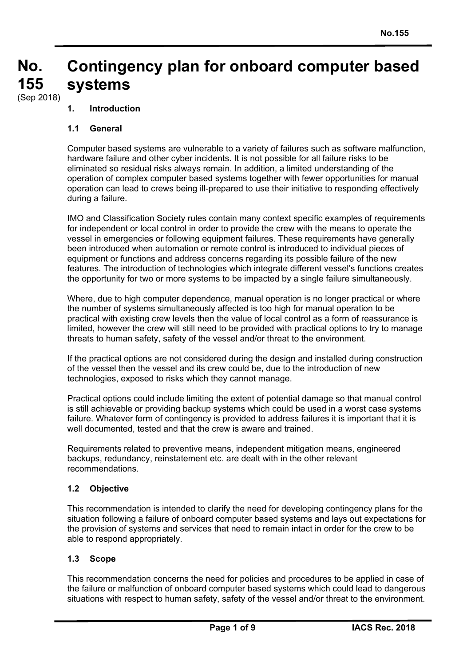#### **No. No. 155 155 Contingency plan for onboard computer based systems**

(Sep 2018)

# **1. Introduction**

### **1.1 General**

Computer based systems are vulnerable to a variety of failures such as software malfunction, hardware failure and other cyber incidents. It is not possible for all failure risks to be eliminated so residual risks always remain. In addition, a limited understanding of the operation of complex computer based systems together with fewer opportunities for manual operation can lead to crews being ill-prepared to use their initiative to responding effectively during a failure.

IMO and Classification Society rules contain many context specific examples of requirements for independent or local control in order to provide the crew with the means to operate the vessel in emergencies or following equipment failures. These requirements have generally been introduced when automation or remote control is introduced to individual pieces of equipment or functions and address concerns regarding its possible failure of the new features. The introduction of technologies which integrate different vessel's functions creates the opportunity for two or more systems to be impacted by a single failure simultaneously.

Where, due to high computer dependence, manual operation is no longer practical or where the number of systems simultaneously affected is too high for manual operation to be practical with existing crew levels then the value of local control as a form of reassurance is limited, however the crew will still need to be provided with practical options to try to manage threats to human safety, safety of the vessel and/or threat to the environment.

If the practical options are not considered during the design and installed during construction of the vessel then the vessel and its crew could be, due to the introduction of new technologies, exposed to risks which they cannot manage.

Practical options could include limiting the extent of potential damage so that manual control is still achievable or providing backup systems which could be used in a worst case systems failure. Whatever form of contingency is provided to address failures it is important that it is well documented, tested and that the crew is aware and trained.

Requirements related to preventive means, independent mitigation means, engineered backups, redundancy, reinstatement etc. are dealt with in the other relevant recommendations.

# **1.2 Objective**

This recommendation is intended to clarify the need for developing contingency plans for the situation following a failure of onboard computer based systems and lays out expectations for the provision of systems and services that need to remain intact in order for the crew to be able to respond appropriately.

#### **1.3 Scope**

This recommendation concerns the need for policies and procedures to be applied in case of the failure or malfunction of onboard computer based systems which could lead to dangerous situations with respect to human safety, safety of the vessel and/or threat to the environment.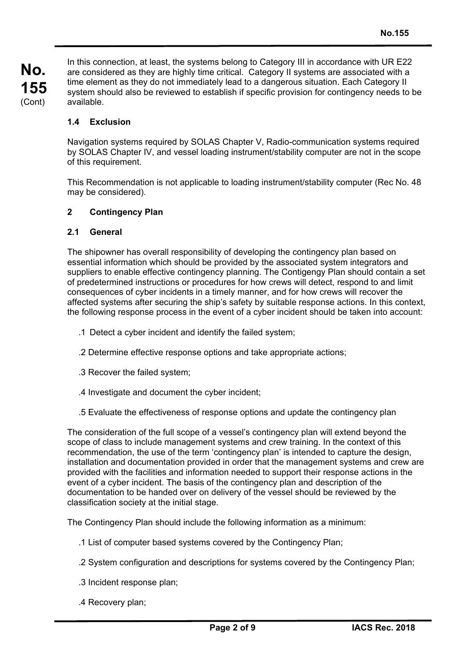In this connection, at least, the systems belong to Category III in accordance with UR E22 are considered as they are highly time critical. Category II systems are associated with a time element as they do not immediately lead to a dangerous situation. Each Category II system should also be reviewed to establish if specific provision for contingency needs to be available.

### **1.4 Exclusion**

Navigation systems required by SOLAS Chapter V, Radio-communication systems required by SOLAS Chapter IV, and vessel loading instrument/stability computer are not in the scope of this requirement.

This Recommendation is not applicable to loading instrument/stability computer (Rec No. 48 may be considered).

### **2 Contingency Plan**

#### **2.1 General**

The shipowner has overall responsibility of developing the contingency plan based on essential information which should be provided by the associated system integrators and suppliers to enable effective contingency planning. The Contigengy Plan should contain a set of predetermined instructions or procedures for how crews will detect, respond to and limit consequences of cyber incidents in a timely manner, and for how crews will recover the affected systems after securing the ship's safety by suitable response actions. In this context, the following response process in the event of a cyber incident should be taken into account:

- .1 Detect a cyber incident and identify the failed system;
- .2 Determine effective response options and take appropriate actions;
- .3 Recover the failed system;
- .4 Investigate and document the cyber incident;
- .5 Evaluate the effectiveness of response options and update the contingency plan

The consideration of the full scope of a vessel's contingency plan will extend beyond the scope of class to include management systems and crew training. In the context of this recommendation, the use of the term 'contingency plan' is intended to capture the design, installation and documentation provided in order that the management systems and crew are provided with the facilities and information needed to support their response actions in the event of a cyber incident. The basis of the contingency plan and description of the documentation to be handed over on delivery of the vessel should be reviewed by the classification society at the initial stage.

The Contingency Plan should include the following information as a minimum:

- .1 List of computer based systems covered by the Contingency Plan;
- .2 System configuration and descriptions for systems covered by the Contingency Plan;
- .3 Incident response plan;
- .4 Recovery plan;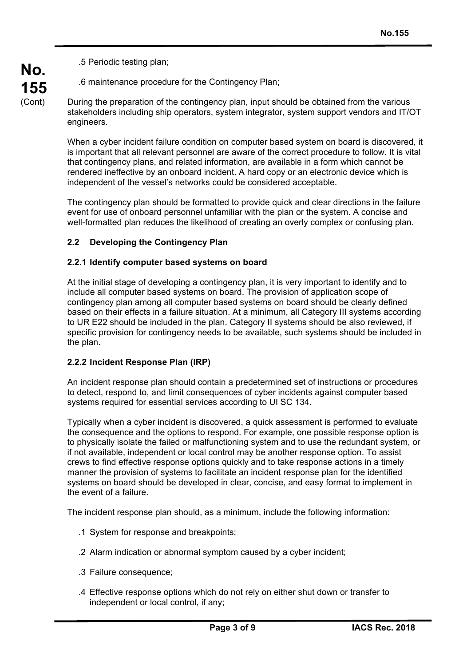.5 Periodic testing plan;

**No.**

**155**  (Cont)

.6 maintenance procedure for the Contingency Plan;

During the preparation of the contingency plan, input should be obtained from the various stakeholders including ship operators, system integrator, system support vendors and IT/OT engineers.

When a cyber incident failure condition on computer based system on board is discovered, it is important that all relevant personnel are aware of the correct procedure to follow. It is vital that contingency plans, and related information, are available in a form which cannot be rendered ineffective by an onboard incident. A hard copy or an electronic device which is independent of the vessel's networks could be considered acceptable.

The contingency plan should be formatted to provide quick and clear directions in the failure event for use of onboard personnel unfamiliar with the plan or the system. A concise and well-formatted plan reduces the likelihood of creating an overly complex or confusing plan.

# **2.2 Developing the Contingency Plan**

# **2.2.1 Identify computer based systems on board**

At the initial stage of developing a contingency plan, it is very important to identify and to include all computer based systems on board. The provision of application scope of contingency plan among all computer based systems on board should be clearly defined based on their effects in a failure situation. At a minimum, all Category III systems according to UR E22 should be included in the plan. Category II systems should be also reviewed, if specific provision for contingency needs to be available, such systems should be included in the plan.

# **2.2.2 Incident Response Plan (IRP)**

An incident response plan should contain a predetermined set of instructions or procedures to detect, respond to, and limit consequences of cyber incidents against computer based systems required for essential services according to UI SC 134.

Typically when a cyber incident is discovered, a quick assessment is performed to evaluate the consequence and the options to respond. For example, one possible response option is to physically isolate the failed or malfunctioning system and to use the redundant system, or if not available, independent or local control may be another response option. To assist crews to find effective response options quickly and to take response actions in a timely manner the provision of systems to facilitate an incident response plan for the identified systems on board should be developed in clear, concise, and easy format to implement in the event of a failure.

The incident response plan should, as a minimum, include the following information:

- .1 System for response and breakpoints;
- .2 Alarm indication or abnormal symptom caused by a cyber incident;
- .3 Failure consequence;
- .4 Effective response options which do not rely on either shut down or transfer to independent or local control, if any;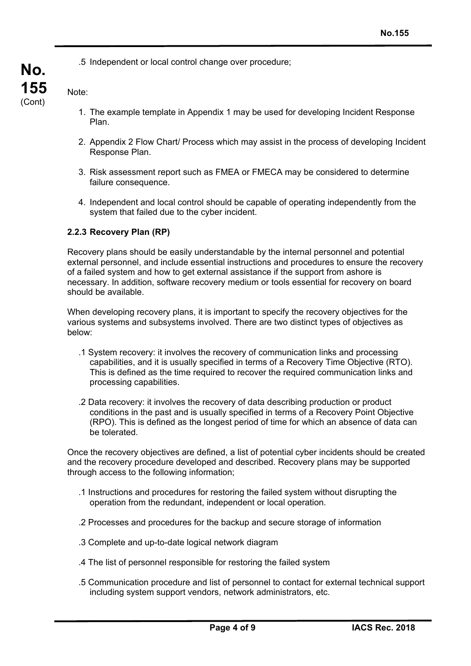.5 Independent or local control change over procedure;

Note:

**No.**

**155**  (Cont)

- 1. The example template in Appendix 1 may be used for developing Incident Response Plan.
- 2. Appendix 2 Flow Chart/ Process which may assist in the process of developing Incident Response Plan.
- 3. Risk assessment report such as FMEA or FMECA may be considered to determine failure consequence.
- 4. Independent and local control should be capable of operating independently from the system that failed due to the cyber incident.

### **2.2.3 Recovery Plan (RP)**

Recovery plans should be easily understandable by the internal personnel and potential external personnel, and include essential instructions and procedures to ensure the recovery of a failed system and how to get external assistance if the support from ashore is necessary. In addition, software recovery medium or tools essential for recovery on board should be available.

When developing recovery plans, it is important to specify the recovery objectives for the various systems and subsystems involved. There are two distinct types of objectives as below:

- .1 System recovery: it involves the recovery of communication links and processing capabilities, and it is usually specified in terms of a Recovery Time Objective (RTO). This is defined as the time required to recover the required communication links and processing capabilities.
- .2 Data recovery: it involves the recovery of data describing production or product conditions in the past and is usually specified in terms of a Recovery Point Objective (RPO). This is defined as the longest period of time for which an absence of data can be tolerated.

Once the recovery objectives are defined, a list of potential cyber incidents should be created and the recovery procedure developed and described. Recovery plans may be supported through access to the following information;

- .1 Instructions and procedures for restoring the failed system without disrupting the operation from the redundant, independent or local operation.
- .2 Processes and procedures for the backup and secure storage of information
- .3 Complete and up-to-date logical network diagram
- .4 The list of personnel responsible for restoring the failed system
- .5 Communication procedure and list of personnel to contact for external technical support including system support vendors, network administrators, etc.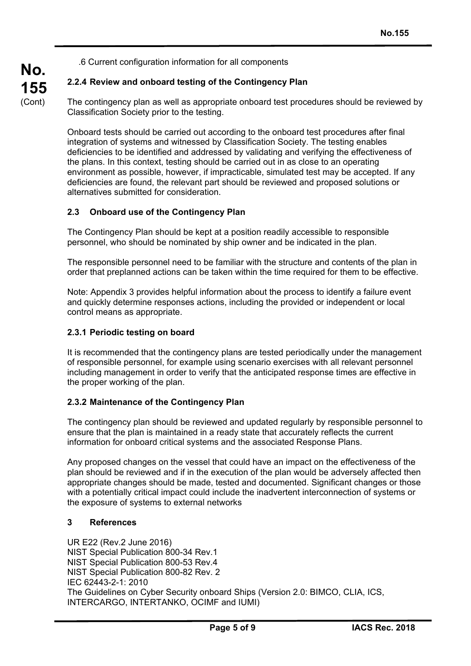.6 Current configuration information for all components

# **2.2.4 Review and onboard testing of the Contingency Plan**

The contingency plan as well as appropriate onboard test procedures should be reviewed by Classification Society prior to the testing.

Onboard tests should be carried out according to the onboard test procedures after final integration of systems and witnessed by Classification Society. The testing enables deficiencies to be identified and addressed by validating and verifying the effectiveness of the plans. In this context, testing should be carried out in as close to an operating environment as possible, however, if impracticable, simulated test may be accepted. If any deficiencies are found, the relevant part should be reviewed and proposed solutions or alternatives submitted for consideration.

### **2.3 Onboard use of the Contingency Plan**

The Contingency Plan should be kept at a position readily accessible to responsible personnel, who should be nominated by ship owner and be indicated in the plan.

The responsible personnel need to be familiar with the structure and contents of the plan in order that preplanned actions can be taken within the time required for them to be effective.

Note: Appendix 3 provides helpful information about the process to identify a failure event and quickly determine responses actions, including the provided or independent or local control means as appropriate.

#### **2.3.1 Periodic testing on board**

**No.**

**155**  (Cont)

> It is recommended that the contingency plans are tested periodically under the management of responsible personnel, for example using scenario exercises with all relevant personnel including management in order to verify that the anticipated response times are effective in the proper working of the plan.

#### **2.3.2 Maintenance of the Contingency Plan**

The contingency plan should be reviewed and updated regularly by responsible personnel to ensure that the plan is maintained in a ready state that accurately reflects the current information for onboard critical systems and the associated Response Plans.

Any proposed changes on the vessel that could have an impact on the effectiveness of the plan should be reviewed and if in the execution of the plan would be adversely affected then appropriate changes should be made, tested and documented. Significant changes or those with a potentially critical impact could include the inadvertent interconnection of systems or the exposure of systems to external networks

#### **3 References**

UR E22 (Rev.2 June 2016) NIST Special Publication 800-34 Rev.1 NIST Special Publication 800-53 Rev.4 NIST Special Publication 800-82 Rev. 2 IEC 62443-2-1: 2010 The Guidelines on Cyber Security onboard Ships (Version 2.0: BIMCO, CLIA, ICS, INTERCARGO, INTERTANKO, OCIMF and IUMI)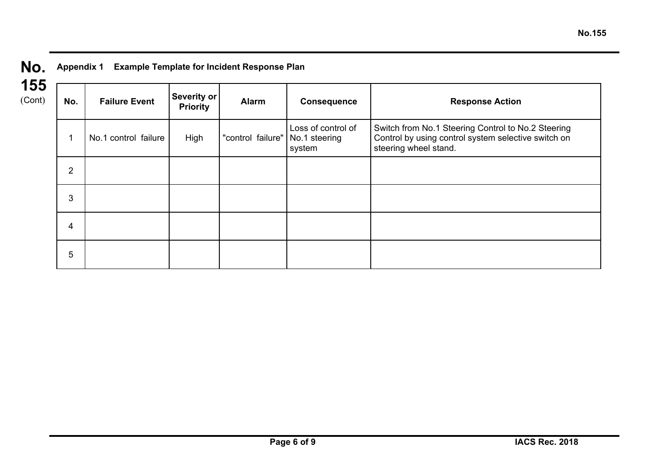| No. | <b>Appendix 1</b> | <b>Example Template for Incident Respon</b> |
|-----|-------------------|---------------------------------------------|
|     |                   |                                             |

| ⊏<br>$\sim$ |
|-------------|
| Cont)       |

| 1 Example Template for Incident Response Plan |
|-----------------------------------------------|
|                                               |

|  | No.            | <b>Failure Event</b> | <b>Severity or</b><br><b>Priority</b> | <b>Alarm</b>      | <b>Consequence</b>                            | <b>Response Action</b>                                                                                                             |
|--|----------------|----------------------|---------------------------------------|-------------------|-----------------------------------------------|------------------------------------------------------------------------------------------------------------------------------------|
|  |                | No.1 control failure | High                                  | "control failure" | Loss of control of<br>No.1 steering<br>system | Switch from No.1 Steering Control to No.2 Steering<br>Control by using control system selective switch on<br>steering wheel stand. |
|  | $\overline{2}$ |                      |                                       |                   |                                               |                                                                                                                                    |
|  | 3              |                      |                                       |                   |                                               |                                                                                                                                    |
|  | 4              |                      |                                       |                   |                                               |                                                                                                                                    |
|  | 5              |                      |                                       |                   |                                               |                                                                                                                                    |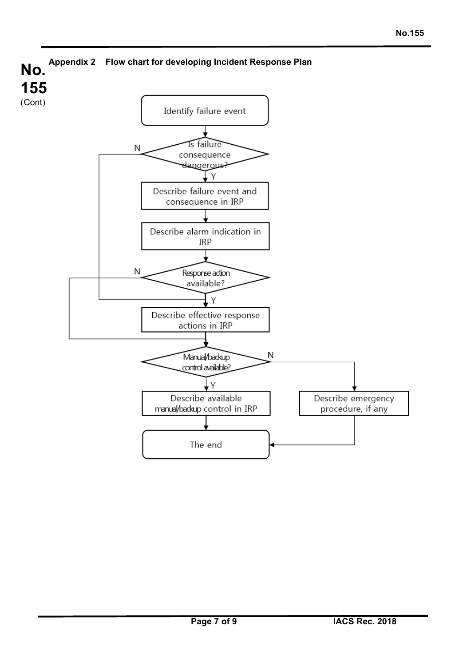

 $\overline{a}$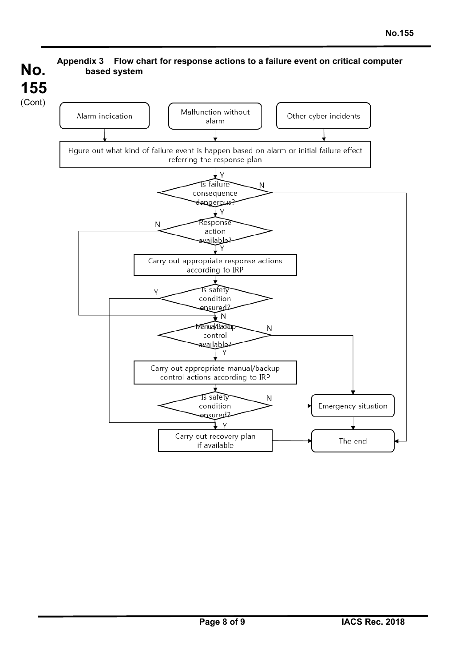

l